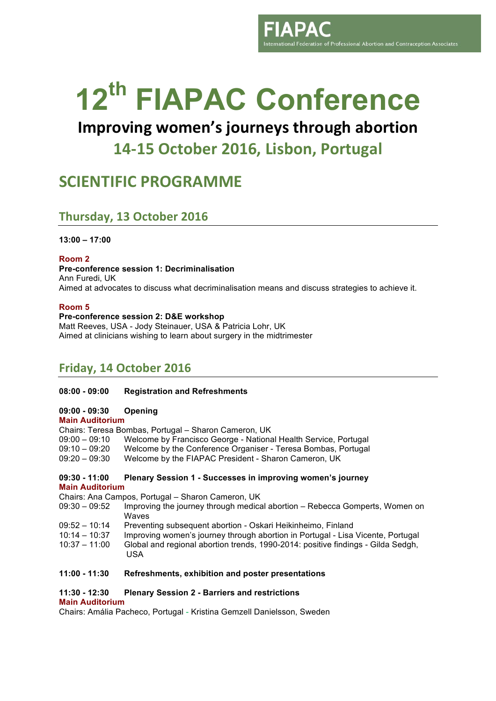nternational Federation of Professional Abortion and Contraception Associates

# **12th FIAPAC Conference**

# **Improving women's journeys through abortion 14-15 October 2016, Lisbon, Portugal**

# **SCIENTIFIC PROGRAMME**

## **Thursday, 13 October 2016**

**13:00 – 17:00**

**Room 2**

#### **Pre-conference session 1: Decriminalisation**

Ann Furedi, UK Aimed at advocates to discuss what decriminalisation means and discuss strategies to achieve it.

#### **Room 5**

#### **Pre-conference session 2: D&E workshop**

Matt Reeves, USA - Jody Steinauer, USA & Patricia Lohr, UK Aimed at clinicians wishing to learn about surgery in the midtrimester

# **Friday, 14 October 2016**

#### **08:00 - 09:00 Registration and Refreshments**

#### **09:00 - 09:30 Opening**

#### **Main Auditorium**

Chairs: Teresa Bombas, Portugal – Sharon Cameron, UK 09:00 – 09:10 Welcome by Francisco George - National Health Service, Portugal 09:10 – 09:20 Welcome by the Conference Organiser - Teresa Bombas, Portugal

09:20 – 09:30 Welcome by the FIAPAC President - Sharon Cameron, UK

#### **09:30 - 11:00 Plenary Session 1 - Successes in improving women's journey Main Auditorium**

Chairs: Ana Campos, Portugal – Sharon Cameron, UK

- 09:30 09:52 Improving the journey through medical abortion Rebecca Gomperts, Women on Waves
- 09:52 10:14 Preventing subsequent abortion Oskari Heikinheimo, Finland
- 10:14 10:37 Improving women's journey through abortion in Portugal Lisa Vicente, Portugal
- 10:37 11:00 Global and regional abortion trends, 1990-2014: positive findings Gilda Sedgh, USA

#### **11:00 - 11:30 Refreshments, exhibition and poster presentations**

#### **11:30 - 12:30 Plenary Session 2 - Barriers and restrictions**

#### **Main Auditorium**

Chairs: Amália Pacheco, Portugal - Kristina Gemzell Danielsson, Sweden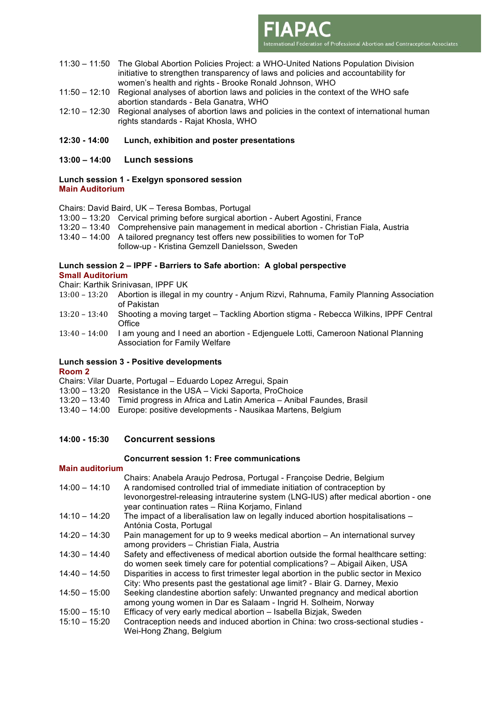11:30 – 11:50 The Global Abortion Policies Project: a WHO-United Nations Population Division initiative to strengthen transparency of laws and policies and accountability for women's health and rights - Brooke Ronald Johnson, WHO

International Federation of Professional Abortion and Contraception Associates

- 11:50 12:10 Regional analyses of abortion laws and policies in the context of the WHO safe abortion standards - Bela Ganatra, WHO
- 12:10 12:30 Regional analyses of abortion laws and policies in the context of international human rights standards - Rajat Khosla, WHO

#### **12:30 - 14:00 Lunch, exhibition and poster presentations**

**13:00 – 14:00 Lunch sessions**

#### **Lunch session 1 - Exelgyn sponsored session Main Auditorium**

Chairs: David Baird, UK – Teresa Bombas, Portugal

- 13:00 13:20 Cervical priming before surgical abortion Aubert Agostini, France
- 13:20 13:40 Comprehensive pain management in medical abortion Christian Fiala, Austria
- 13:40 14:00 A tailored pregnancy test offers new possibilities to women for ToP

follow-up - Kristina Gemzell Danielsson, Sweden

### **Lunch session 2 – IPPF - Barriers to Safe abortion: A global perspective**

#### **Small Auditorium**

- Chair: Karthik Srinivasan, IPPF UK
- 13:00 – 13:20 Abortion is illegal in my country Anjum Rizvi, Rahnuma, Family Planning Association of Pakistan
- 13:20 – 13:40 Shooting a moving target Tackling Abortion stigma Rebecca Wilkins, IPPF Central **Office**
- 13:40 14:00 I am young and I need an abortion Edjenguele Lotti, Cameroon National Planning Association for Family Welfare

#### **Lunch session 3 - Positive developments Room 2**

Chairs: Vilar Duarte, Portugal – Eduardo Lopez Arregui, Spain

- 13:00 13:20 Resistance in the USA Vicki Saporta, ProChoice
- 13:20 13:40 Timid progress in Africa and Latin America Anibal Faundes, Brasil
- 13:40 14:00 Europe: positive developments Nausikaa Martens, Belgium

#### **14:00 - 15:30 Concurrent sessions**

#### **Concurrent session 1: Free communications**

#### **Main auditorium**

Chairs: Anabela Araujo Pedrosa, Portugal - Françoise Dedrie, Belgium 14:00 – 14:10 A randomised controlled trial of immediate initiation of contraception by levonorgestrel-releasing intrauterine system (LNG-IUS) after medical abortion - one year continuation rates – Riina Korjamo, Finland

- 14:10 14:20 The impact of a liberalisation law on legally induced abortion hospitalisations Antónia Costa, Portugal
- 14:20 14:30 Pain management for up to 9 weeks medical abortion An international survey among providers – Christian Fiala, Austria
- 14:30 14:40 Safety and effectiveness of medical abortion outside the formal healthcare setting: do women seek timely care for potential complications? – Abigail Aiken, USA
- 14:40 14:50 Disparities in access to first trimester legal abortion in the public sector in Mexico City: Who presents past the gestational age limit? - Blair G. Darney, Mexio
- 14:50 15:00 Seeking clandestine abortion safely: Unwanted pregnancy and medical abortion among young women in Dar es Salaam - Ingrid H. Solheim, Norway
- 15:00 15:10 Efficacy of very early medical abortion Isabella Bizjak, Sweden
- 15:10 15:20 Contraception needs and induced abortion in China: two cross-sectional studies Wei-Hong Zhang, Belgium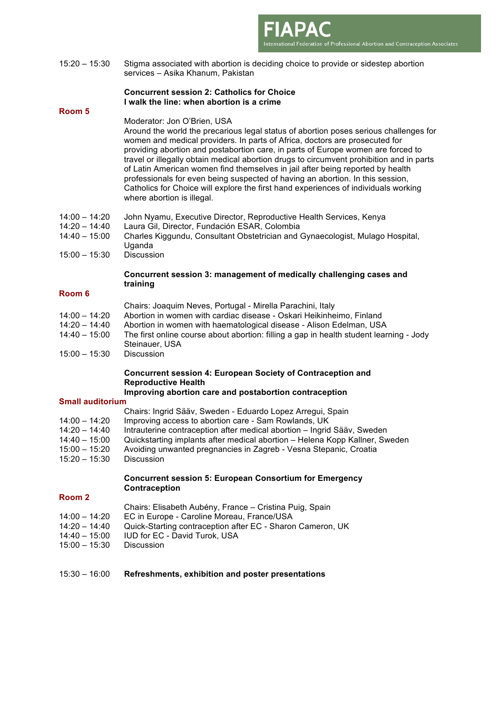15:20 – 15:30 Stigma associated with abortion is deciding choice to provide or sidestep abortion services – Asika Khanum, Pakistan

#### **Concurrent session 2: Catholics for Choice I walk the line: when abortion is a crime**

#### **Room 5**

#### Moderator: Jon O'Brien, USA

Around the world the precarious legal status of abortion poses serious challenges for women and medical providers. In parts of Africa, doctors are prosecuted for providing abortion and postabortion care, in parts of Europe women are forced to travel or illegally obtain medical abortion drugs to circumvent prohibition and in parts of Latin American women find themselves in jail after being reported by health professionals for even being suspected of having an abortion. In this session, Catholics for Choice will explore the first hand experiences of individuals working where abortion is illegal.

International Federation of Professional Abortion and Contraception Associates

- 14:00 14:20 John Nyamu, Executive Director, Reproductive Health Services, Kenya
- 14:20 14:40 Laura Gil, Director, Fundación ESAR, Colombia
- 14:40 15:00 Charles Kiggundu, Consultant Obstetrician and Gynaecologist, Mulago Hospital, Uganda
- 15:00 15:30 Discussion

#### **Concurrent session 3: management of medically challenging cases and training**

#### **Room 6**

- Chairs: Joaquim Neves, Portugal Mirella Parachini, Italy
- 14:00 14:20 Abortion in women with cardiac disease Oskari Heikinheimo, Finland
- 14:20 14:40 Abortion in women with haematological disease Alison Edelman, USA
- 14:40 15:00 The first online course about abortion: filling a gap in health student learning Jody Steinauer, USA
- 15:00 15:30 Discussion

#### **Concurrent session 4: European Society of Contraception and Reproductive Health**

#### **Improving abortion care and postabortion contraception**

#### **Small auditorium**

- Chairs: Ingrid Sääv, Sweden Eduardo Lopez Arregui, Spain
- 14:00 14:20 Improving access to abortion care Sam Rowlands, UK
- 14:20 14:40 Intrauterine contraception after medical abortion Ingrid Sääv, Sweden
- 14:40 15:00 Quickstarting implants after medical abortion Helena Kopp Kallner, Sweden
- 15:00 15:20 Avoiding unwanted pregnancies in Zagreb Vesna Stepanic, Croatia
- 15:20 15:30 Discussion

#### **Concurrent session 5: European Consortium for Emergency Contraception**

#### **Room 2**

- Chairs: Elisabeth Aubény, France Cristina Puig, Spain
- 14:00 14:20 EC in Europe Caroline Moreau, France/USA
- 14:20 14:40 Quick-Starting contraception after EC Sharon Cameron, UK<br>14:40 15:00 UD for EC David Turok. USA
- IUD for EC David Turok, USA
- 15:00 15:30 Discussion

#### 15:30 – 16:00 **Refreshments, exhibition and poster presentations**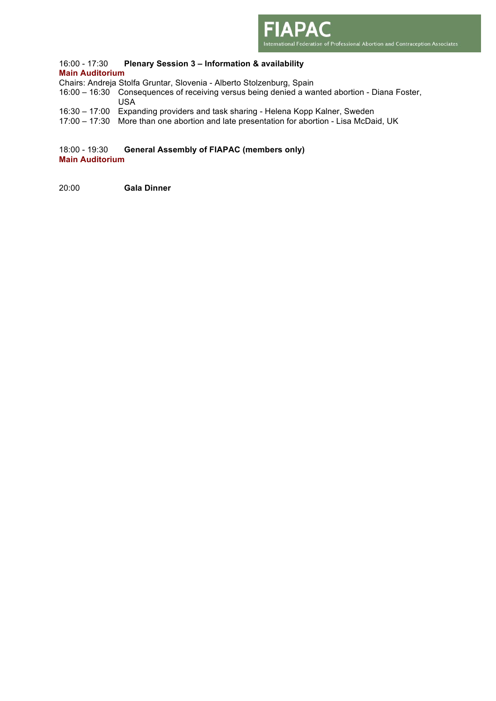

#### 16:00 - 17:30 **Plenary Session 3 – Information & availability Main Auditorium**

- Chairs: Andreja Stolfa Gruntar, Slovenia Alberto Stolzenburg, Spain
- 16:00 16:30 Consequences of receiving versus being denied a wanted abortion Diana Foster, USA
- 16:30 17:00 Expanding providers and task sharing Helena Kopp Kalner, Sweden
- 17:00 17:30 More than one abortion and late presentation for abortion Lisa McDaid, UK

18:00 - 19:30 **General Assembly of FIAPAC (members only) Main Auditorium**

20:00 **Gala Dinner**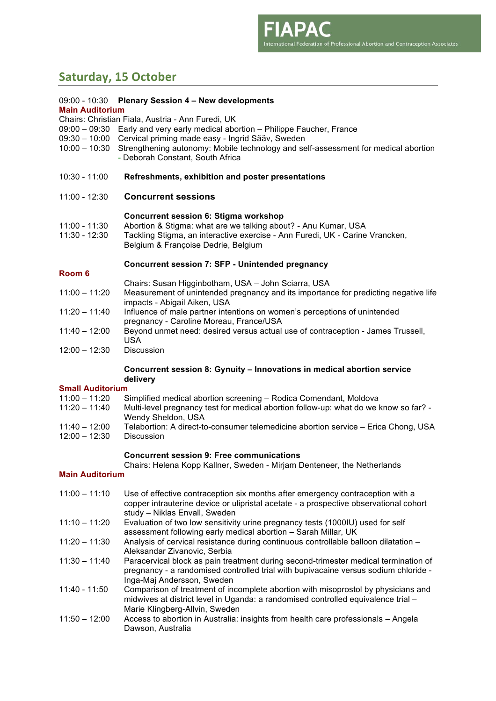# **Saturday, 15 October**

| 09:00 - 10:30           | <b>Plenary Session 4 - New developments</b>                                                                          |  |  |  |
|-------------------------|----------------------------------------------------------------------------------------------------------------------|--|--|--|
| <b>Main Auditorium</b>  |                                                                                                                      |  |  |  |
|                         | Chairs: Christian Fiala, Austria - Ann Furedi, UK                                                                    |  |  |  |
| 09:00 - 09:30           | Early and very early medical abortion - Philippe Faucher, France                                                     |  |  |  |
| 09:30 - 10:00           | Cervical priming made easy - Ingrid Sääv, Sweden                                                                     |  |  |  |
| $10:00 - 10:30$         | Strengthening autonomy: Mobile technology and self-assessment for medical abortion                                   |  |  |  |
|                         | - Deborah Constant, South Africa                                                                                     |  |  |  |
| 10:30 - 11:00           | Refreshments, exhibition and poster presentations                                                                    |  |  |  |
| 11:00 - 12:30           | <b>Concurrent sessions</b>                                                                                           |  |  |  |
|                         | <b>Concurrent session 6: Stigma workshop</b>                                                                         |  |  |  |
| 11:00 - 11:30           | Abortion & Stigma: what are we talking about? - Anu Kumar, USA                                                       |  |  |  |
| 11:30 - 12:30           | Tackling Stigma, an interactive exercise - Ann Furedi, UK - Carine Vrancken,                                         |  |  |  |
|                         | Belgium & Françoise Dedrie, Belgium                                                                                  |  |  |  |
|                         | <b>Concurrent session 7: SFP - Unintended pregnancy</b>                                                              |  |  |  |
| Room <sub>6</sub>       |                                                                                                                      |  |  |  |
|                         | Chairs: Susan Higginbotham, USA - John Sciarra, USA                                                                  |  |  |  |
| $11:00 - 11:20$         | Measurement of unintended pregnancy and its importance for predicting negative life                                  |  |  |  |
|                         | impacts - Abigail Aiken, USA                                                                                         |  |  |  |
| $11:20 - 11:40$         | Influence of male partner intentions on women's perceptions of unintended<br>pregnancy - Caroline Moreau, France/USA |  |  |  |
| $11:40 - 12:00$         | Beyond unmet need: desired versus actual use of contraception - James Trussell,                                      |  |  |  |
|                         | <b>USA</b>                                                                                                           |  |  |  |
| $12:00 - 12:30$         | <b>Discussion</b>                                                                                                    |  |  |  |
|                         | Concurrent session 8: Gynuity - Innovations in medical abortion service                                              |  |  |  |
|                         | delivery                                                                                                             |  |  |  |
| <b>Small Auditorium</b> |                                                                                                                      |  |  |  |
| $11:00 - 11:20$         | Simplified medical abortion screening - Rodica Comendant, Moldova                                                    |  |  |  |
| $11:20 - 11:40$         | Multi-level pregnancy test for medical abortion follow-up: what do we know so far? -<br>Wendy Sheldon, USA           |  |  |  |
| 11:40 - 12:00           | Telabortion: A direct-to-consumer telemedicine abortion service - Erica Chong, USA                                   |  |  |  |
| $12:00 - 12:30$         | <b>Discussion</b>                                                                                                    |  |  |  |
|                         |                                                                                                                      |  |  |  |

#### **Concurrent session 9: Free communications**

Chairs: Helena Kopp Kallner, Sweden - Mirjam Denteneer, the Netherlands

#### **Main Auditorium**

- 11:00 11:10 Use of effective contraception six months after emergency contraception with a copper intrauterine device or ulipristal acetate - a prospective observational cohort study – Niklas Envall, Sweden
- 11:10 11:20 Evaluation of two low sensitivity urine pregnancy tests (1000IU) used for self assessment following early medical abortion – Sarah Millar, UK
- 11:20 11:30 Analysis of cervical resistance during continuous controllable balloon dilatation Aleksandar Zivanovic, Serbia
- 11:30 11:40 Paracervical block as pain treatment during second-trimester medical termination of pregnancy - a randomised controlled trial with bupivacaine versus sodium chloride - Inga-Maj Andersson, Sweden
- 11:40 11:50 Comparison of treatment of incomplete abortion with misoprostol by physicians and midwives at district level in Uganda: a randomised controlled equivalence trial – Marie Klingberg-Allvin, Sweden
- 11:50 12:00 Access to abortion in Australia: insights from health care professionals Angela Dawson, Australia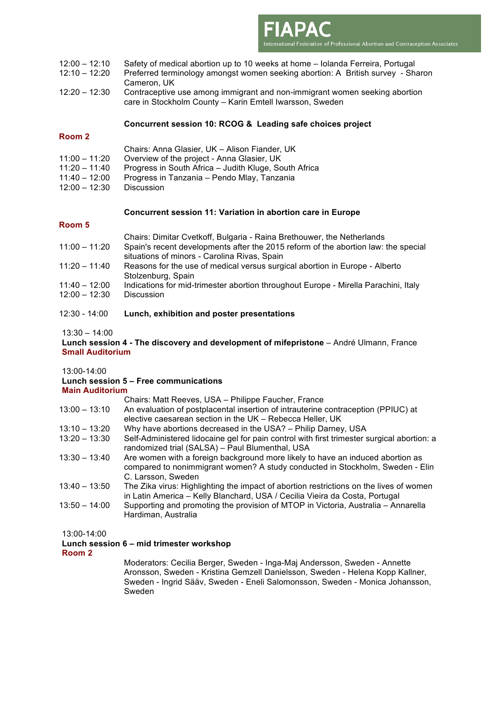

- 12:00 12:10 Safety of medical abortion up to 10 weeks at home Iolanda Ferreira, Portugal
- 12:10 12:20 Preferred terminology amongst women seeking abortion: A British survey Sharon Cameron, UK
- 12:20 12:30 Contraceptive use among immigrant and non-immigrant women seeking abortion care in Stockholm County – Karin Emtell Iwarsson, Sweden

#### **Concurrent session 10: RCOG & Leading safe choices project**

#### **Room 2**

|  | Chairs: Anna Glasier, UK - Alison Fiander, UK |
|--|-----------------------------------------------|
|  |                                               |

- 11:00 11:20 Overview of the project Anna Glasier, UK
- 11:20 11:40 Progress in South Africa Judith Kluge, South Africa
- 11:40 12:00 Progress in Tanzania Pendo Mlay, Tanzania
- 12:00 12:30 Discussion

#### **Concurrent session 11: Variation in abortion care in Europe**

#### **Room 5**

|                 | Chairs: Dimitar Cvetkoff, Bulgaria - Raina Brethouwer, the Netherlands              |
|-----------------|-------------------------------------------------------------------------------------|
| $11:00 - 11:20$ | Spain's recent developments after the 2015 reform of the abortion law: the special  |
|                 | situations of minors - Carolina Rivas, Spain                                        |
| 11:20 – 11:40   | Reasons for the use of medical versus surgical abortion in Europe - Alberto         |
|                 | Stolzenburg, Spain                                                                  |
| $11:40 - 12:00$ | Indications for mid-trimester abortion throughout Europe - Mirella Parachini, Italy |
| $12:00 - 12:30$ | <b>Discussion</b>                                                                   |
|                 |                                                                                     |

#### 12:30 - 14:00 **Lunch, exhibition and poster presentations**

#### 13:30 – 14:00

#### **Lunch session 4 - The discovery and development of mifepristone** – André Ulmann, France **Small Auditorium**

13:00-14:00

# **Lunch session 5 – Free communications**

**Main Auditorium**

|                 | Chairs: Matt Reeves, USA - Philippe Faucher, France                                                                                                                                   |
|-----------------|---------------------------------------------------------------------------------------------------------------------------------------------------------------------------------------|
| $13:00 - 13:10$ | An evaluation of postplacental insertion of intrauterine contraception (PPIUC) at                                                                                                     |
|                 | elective caesarean section in the UK - Rebecca Heller, UK                                                                                                                             |
| $13:10 - 13:20$ | Why have abortions decreased in the USA? - Philip Darney, USA                                                                                                                         |
| $13:20 - 13:30$ | Self-Administered lidocaine gel for pain control with first trimester surgical abortion: a<br>randomized trial (SALSA) - Paul Blumenthal, USA                                         |
| $13:30 - 13:40$ | Are women with a foreign background more likely to have an induced abortion as<br>compared to nonimmigrant women? A study conducted in Stockholm, Sweden - Elin<br>C. Larsson, Sweden |
| $13:40 - 13:50$ | The Zika virus: Highlighting the impact of abortion restrictions on the lives of women<br>in Latin America - Kelly Blanchard, USA / Cecilia Vieira da Costa, Portugal                 |
| $13:50 - 14:00$ | Supporting and promoting the provision of MTOP in Victoria, Australia – Annarella<br>Hardiman, Australia                                                                              |

13:00-14:00

#### **Lunch session 6 – mid trimester workshop**

**Room 2**

Moderators: Cecilia Berger, Sweden - Inga-Maj Andersson, Sweden - Annette Aronsson, Sweden - Kristina Gemzell Danielsson, Sweden - Helena Kopp Kallner, Sweden - Ingrid Sääv, Sweden - Eneli Salomonsson, Sweden - Monica Johansson, Sweden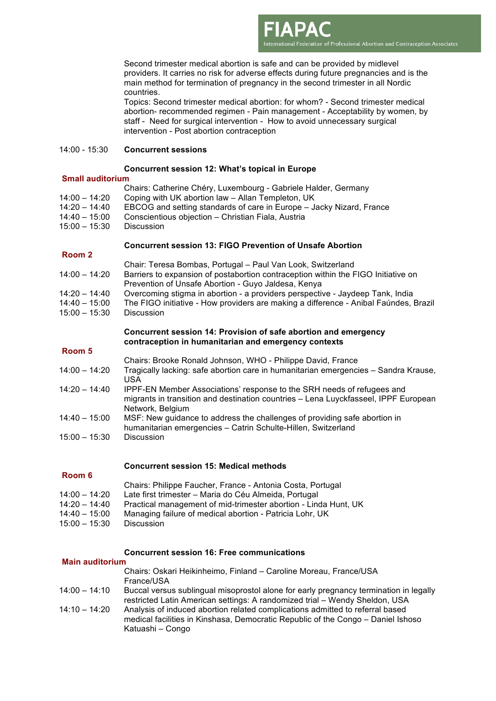Second trimester medical abortion is safe and can be provided by midlevel providers. It carries no risk for adverse effects during future pregnancies and is the main method for termination of pregnancy in the second trimester in all Nordic countries.

International Federation of Professional Abortion and Contraception Associates

Topics: Second trimester medical abortion: for whom? - Second trimester medical abortion- recommended regimen - Pain management - Acceptability by women, by staff - Need for surgical intervention - How to avoid unnecessary surgical intervention - Post abortion contraception

#### 14:00 - 15:30 **Concurrent sessions**

#### **Concurrent session 12: What's topical in Europe**

#### **Small auditorium**

|                 | Chairs: Catherine Chéry, Luxembourg - Gabriele Halder, Germany       |
|-----------------|----------------------------------------------------------------------|
| $14:00 - 14:20$ | Coping with UK abortion law - Allan Templeton, UK                    |
| 14:20 – 14:40   | EBCOG and setting standards of care in Europe – Jacky Nizard, France |
| 14:40 – 15:00   | Conscientious objection - Christian Fiala, Austria                   |
| $15:00 - 15:30$ | <b>Discussion</b>                                                    |
|                 |                                                                      |

#### **Concurrent session 13: FIGO Prevention of Unsafe Abortion**

#### **Room 2**

- Chair: Teresa Bombas, Portugal Paul Van Look, Switzerland
- 14:00 14:20 Barriers to expansion of postabortion contraception within the FIGO Initiative on Prevention of Unsafe Abortion - Guyo Jaldesa, Kenya
- 14:20 14:40 Overcoming stigma in abortion a providers perspective Jaydeep Tank, India
- 14:40 15:00 The FIGO initiative How providers are making a difference Anibal Faúndes, Brazil
- 15:00 15:30 Discussion

#### **Concurrent session 14: Provision of safe abortion and emergency contraception in humanitarian and emergency contexts**

#### **Room 5**

**Room 6**

- Chairs: Brooke Ronald Johnson, WHO Philippe David, France
- 14:00 14:20 Tragically lacking: safe abortion care in humanitarian emergencies Sandra Krause, USA
- 14:20 14:40 IPPF-EN Member Associations' response to the SRH needs of refugees and migrants in transition and destination countries – Lena Luyckfasseel, IPPF European Network, Belgium
- 14:40 15:00 MSF: New guidance to address the challenges of providing safe abortion in humanitarian emergencies – Catrin Schulte-Hillen, Switzerland
- 15:00 15:30 Discussion

#### **Concurrent session 15: Medical methods**

- Chairs: Philippe Faucher, France Antonia Costa, Portugal
- 14:00 14:20 Late first trimester Maria do Céu Almeida, Portugal
- 14:20 14:40 Practical management of mid-trimester abortion Linda Hunt, UK
- 14:40 15:00 Managing failure of medical abortion Patricia Lohr, UK
- 15:00 15:30 Discussion

#### **Concurrent session 16: Free communications**

#### **Main auditorium**

|                 | Chairs: Oskari Heikinheimo, Finland – Caroline Moreau, France/USA<br>France/USA                                                                                                       |
|-----------------|---------------------------------------------------------------------------------------------------------------------------------------------------------------------------------------|
| $14:00 - 14:10$ | Buccal versus sublingual misoprostol alone for early pregnancy termination in legally<br>restricted Latin American settings: A randomized trial - Wendy Sheldon, USA                  |
| $14:10 - 14:20$ | Analysis of induced abortion related complications admitted to referral based<br>medical facilities in Kinshasa, Democratic Republic of the Congo - Daniel Ishoso<br>Katuashi - Congo |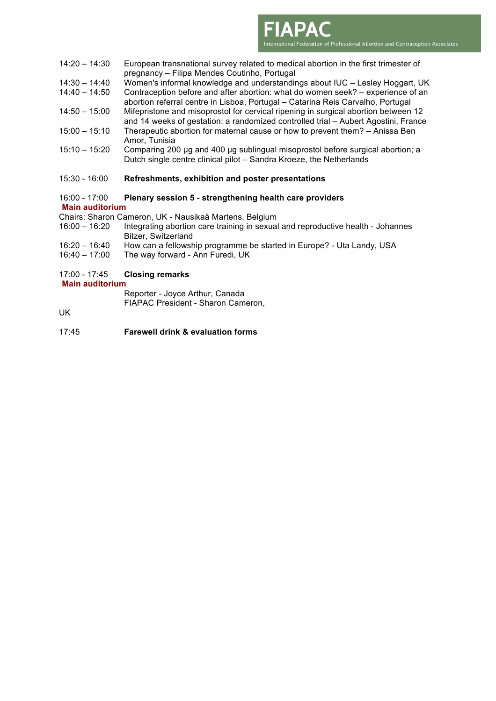International Federation of Professional Abortion and Contraception Associates

- 14:30 14:40 Women's informal knowledge and understandings about IUC Lesley Hoggart, UK
- 14:40 14:50 Contraception before and after abortion: what do women seek? experience of an abortion referral centre in Lisboa, Portugal – Catarina Reis Carvalho, Portugal
- 14:50 15:00 Mifepristone and misoprostol for cervical ripening in surgical abortion between 12 and 14 weeks of gestation: a randomized controlled trial – Aubert Agostini, France 15:00 – 15:10 Therapeutic abortion for maternal cause or how to prevent them? – Anissa Ben
- Amor, Tunisia
- 15:10 15:20 Comparing 200 μg and 400 μg sublingual misoprostol before surgical abortion; a Dutch single centre clinical pilot – Sandra Kroeze, the Netherlands
- 15:30 16:00 **Refreshments, exhibition and poster presentations**
- 16:00 17:00 **Plenary session 5 - strengthening health care providers Main auditorium**
- Chairs: Sharon Cameron, UK Nausikaä Martens, Belgium
- 16:00 16:20 Integrating abortion care training in sexual and reproductive health Johannes Bitzer, Switzerland
- 16:20 16:40 How can a fellowship programme be started in Europe? Uta Landy, USA
- 16:40 17:00 The way forward Ann Furedi, UK

#### 17:00 - 17:45 **Closing remarks**

**Main auditorium**

Reporter - Joyce Arthur, Canada FIAPAC President - Sharon Cameron,

UK

17:45 **Farewell drink & evaluation forms**